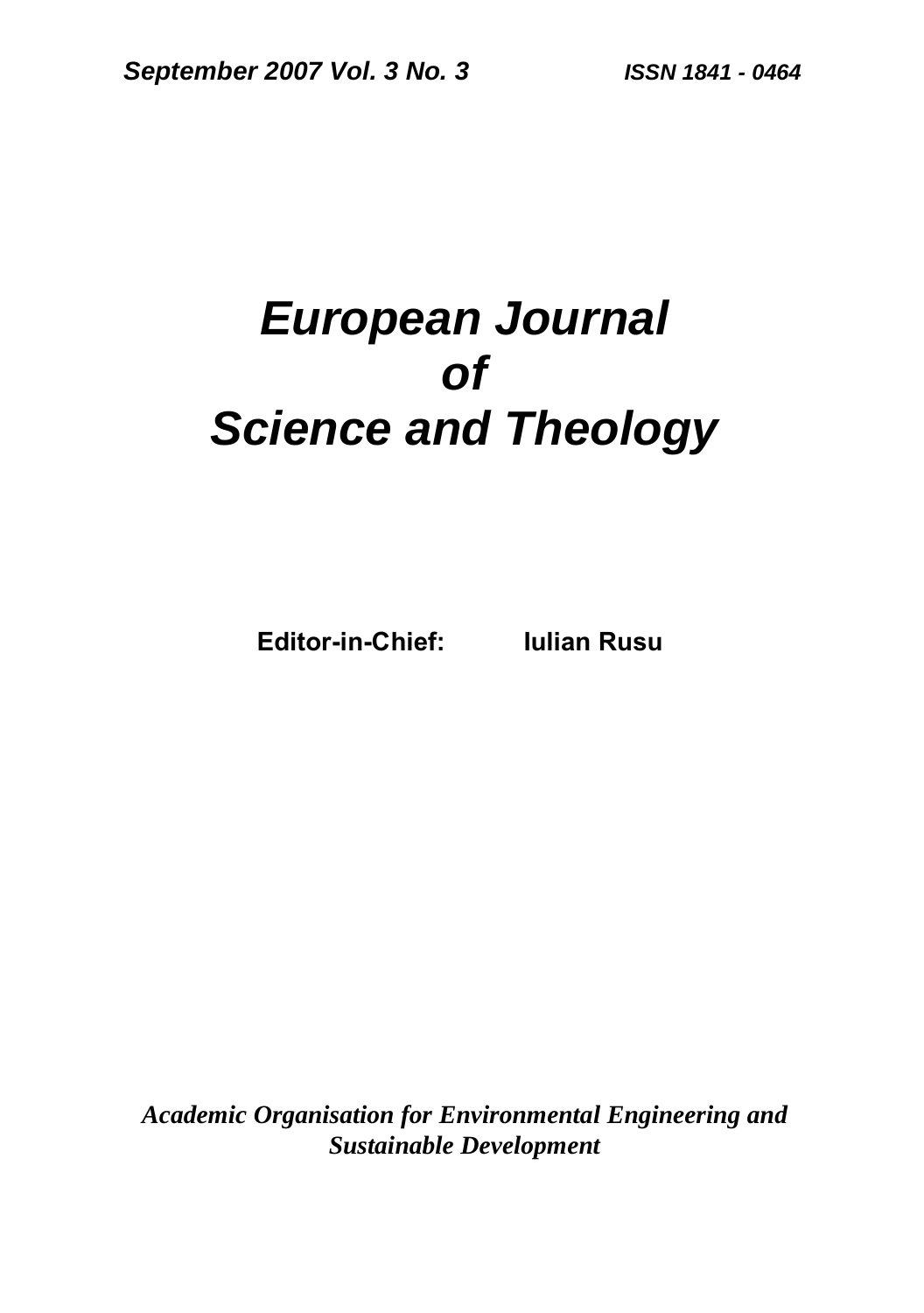# *European Journal of Science and Theology*

**Editor-in-Chief: Iulian Rusu** 

*Academic Organisation for Environmental Engineering and Sustainable Development*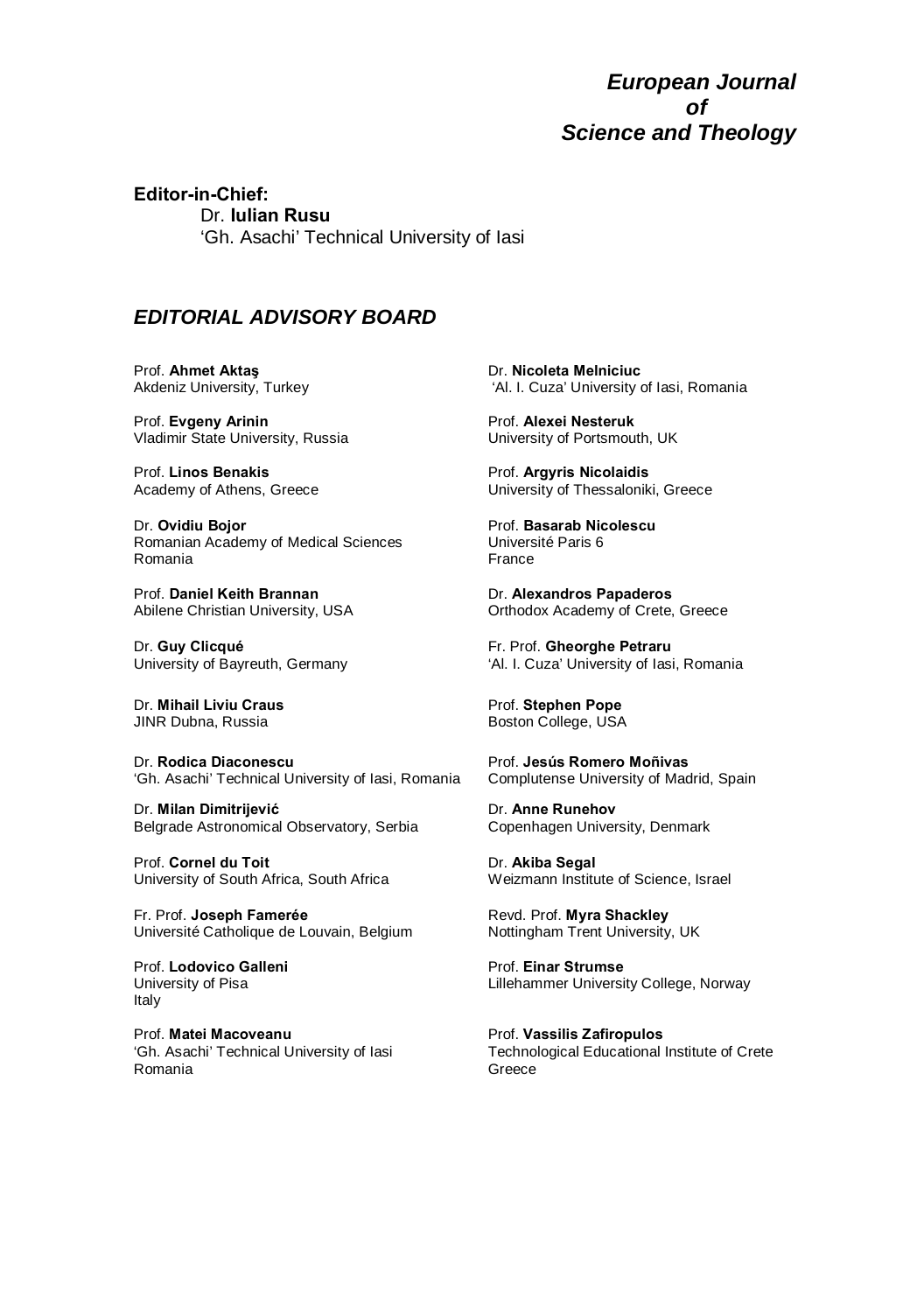*European Journal of Science and Theology* 

**Editor-in-Chief:**  Dr. **Iulian Rusu**  'Gh. Asachi' Technical University of Iasi

#### *EDITORIAL ADVISORY BOARD*

Prof. **Ahmet Aktaş** Akdeniz University, Turkey

Prof. **Evgeny Arinin** Vladimir State University, Russia

Prof. **Linos Benakis** Academy of Athens, Greece

Dr. **Ovidiu Bojor** Romanian Academy of Medical Sciences Romania

Prof. **Daniel Keith Brannan** Abilene Christian University, USA

Dr. **Guy Clicqué** University of Bayreuth, Germany

Dr. **Mihail Liviu Craus** JINR Dubna, Russia

Dr. **Rodica Diaconescu** 'Gh. Asachi' Technical University of Iasi, Romania

Dr. **Milan Dimitrijević** Belgrade Astronomical Observatory, Serbia

Prof. **Cornel du Toit**  University of South Africa, South Africa

Fr. Prof. **Joseph Famerée**  Université Catholique de Louvain, Belgium

Prof. **Lodovico Galleni**  University of Pisa Italy

Prof. **Matei Macoveanu** 'Gh. Asachi' Technical University of Iasi Romania

Dr. **Nicoleta Melniciuc** 'Al. I. Cuza' University of Iasi, Romania

Prof. **Alexei Nesteruk**  University of Portsmouth, UK

Prof. **Argyris Nicolaidis** University of Thessaloniki, Greece

Prof. **Basarab Nicolescu** Université Paris 6 France

Dr. **Alexandros Papaderos**  Orthodox Academy of Crete, Greece

Fr. Prof. **Gheorghe Petraru** 'Al. I. Cuza' University of Iasi, Romania

Prof. **Stephen Pope** Boston College, USA

Prof. **Jesús Romero Moñivas** Complutense University of Madrid, Spain

Dr. **Anne Runehov**  Copenhagen University, Denmark

Dr. **Akiba Segal**  Weizmann Institute of Science, Israel

Revd. Prof. **Myra Shackley** Nottingham Trent University, UK

Prof. **Einar Strumse**  Lillehammer University College, Norway

Prof. **Vassilis Zafiropulos**  Technological Educational Institute of Crete Greece